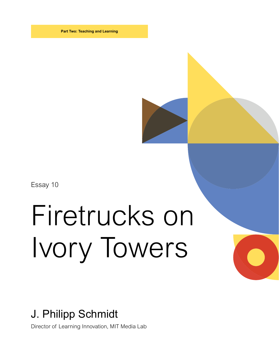**Part Two: Teaching and Learning**

Essay 10

## Firetrucks on Ivory Towers

## J. Philipp Schmidt

Director of Learning Innovation, MIT Media Lab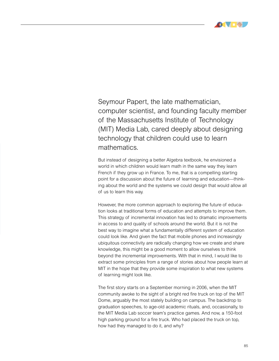

Seymour Papert, the late mathematician, computer scientist, and founding faculty member of the Massachusetts Institute of Technology (MIT) Media Lab, cared deeply about designing technology that children could use to learn mathematics.

But instead of designing a better Algebra textbook, he envisioned a world in which children would learn math in the same way they learn French if they grow up in France. To me, that is a compelling starting point for a discussion about the future of learning and education—thinking about the world and the systems we could design that would allow all of us to learn this way.

However, the more common approach to exploring the future of education looks at traditional forms of education and attempts to improve them. This strategy of incremental innovation has led to dramatic improvements in access to and quality of schools around the world. But it is not the best way to imagine what a fundamentally different system of education could look like. And given the fact that mobile phones and increasingly ubiquitous connectivity are radically changing how we create and share knowledge, this might be a good moment to allow ourselves to think beyond the incremental improvements. With that in mind, I would like to extract some principles from a range of stories about how people learn at MIT in the hope that they provide some inspiration to what new systems of learning might look like.

The first story starts on a September morning in 2006, when the MIT community awoke to the sight of a bright red fire truck on top of the MIT Dome, arguably the most stately building on campus. The backdrop to graduation speeches, to age-old academic rituals, and, occasionally, to the MIT Media Lab soccer team's practice games. And now, a 150-foot high parking ground for a fire truck. Who had placed the truck on top, how had they managed to do it, and why?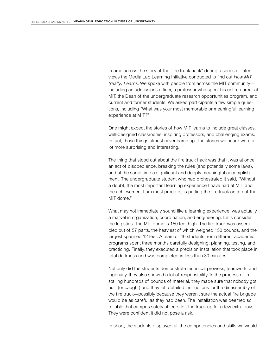I came across the story of the "fire truck hack" during a series of interviews the Media Lab Learning Initiative conducted to find out *How MIT (really) Learns.* We spoke with people from across the MIT community including an admissions officer, a professor who spent his entire career at MIT, the Dean of the undergraduate research opportunities program, and current and former students. We asked participants a few simple questions, including "What was your most memorable or meaningful learning experience at MIT?"

One might expect the stories of how MIT learns to include great classes, well-designed classrooms, inspiring professors, and challenging exams. In fact, those things almost never came up. The stories we heard were a lot more surprising and interesting.

The thing that stood out about the fire truck hack was that it was at once an act of disobedience, breaking the rules (and potentially some laws), and at the same time a significant and deeply meaningful accomplishment. The undergraduate student who had orchestrated it said, "Without a doubt, the most important learning experience I have had at MIT, and the achievement I am most proud of, is putting the fire truck on top of the MIT dome."

What may not immediately sound like a learning experience, was actually a marvel in organization, coordination, and engineering. Let's consider the logistics. The MIT dome is 150 feet high. The fire truck was assembled out of 57 parts, the heaviest of which weighed 150 pounds, and the largest spanned 12 feet. A team of 40 students from different academic programs spent three months carefully designing, planning, testing, and practicing. Finally, they executed a precision installation that took place in total darkness and was completed in less than 30 minutes.

Not only did the students demonstrate technical prowess, teamwork, and ingenuity, they also showed a lot of responsibility. In the process of installing hundreds of pounds of material, they made sure that nobody got hurt (or caught) and they left detailed instructions for the disassembly of the fire truck—possibly because they weren't sure the actual fire brigade would be as careful as they had been. The installation was deemed so reliable that campus safety officers left the truck up for a few extra days. They were confident it did not pose a risk.

In short, the students displayed all the competencies and skills we would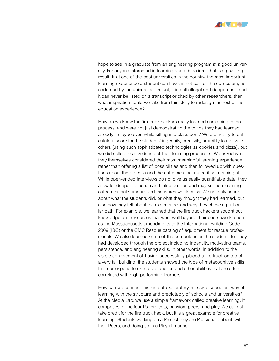

hope to see in a graduate from an engineering program at a good university. For anyone interested in learning and education—that is a puzzling result. If at one of the best universities in the country, the most important learning experience a student can have, is not part of the curriculum, not endorsed by the university—in fact, it is both illegal and dangerous—and it can never be listed on a transcript or cited by other researchers, then what inspiration could we take from this story to redesign the rest of the education experience?

How do we know the fire truck hackers really learned something in the process, and were not just demonstrating the things they had learned already—maybe even while sitting in a classroom? We did not try to calculate a score for the students' ingenuity, creativity, or ability to motivate others (using such sophisticated technologies as cookies and pizza), but we did collect rich evidence of their learning processes. We asked what they themselves considered their most meaningful learning experience rather than offering a list of possibilities and then followed up with questions about the process and the outcomes that made it so meaningful. While open-ended interviews do not give us easily quantifiable data, they allow for deeper reflection and introspection and may surface learning outcomes that standardized measures would miss. We not only heard about what the students did, or what they thought they had learned, but also how they felt about the experience, and why they chose a particular path. For example, we learned that the fire truck hackers sought out knowledge and resources that went well beyond their coursework, such as the Massachusetts amendments to the International Building Code 2009 (IBC) or the CMC Rescue catalog of equipment for rescue professionals. We also learned some of the competencies the students felt they had developed through the project including ingenuity, motivating teams, persistence, and engineering skills. In other words, in addition to the visible achievement of having successfully placed a fire truck on top of a very tall building, the students showed the type of metacognitive skills that correspond to executive function and other abilities that are often correlated with high-performing learners.

How can we connect this kind of exploratory, messy, disobedient way of learning with the structure and predictably of schools and universities? At the Media Lab, we use a simple framework called creative learning. It comprises of the four Ps: projects, passion, peers, and play. We cannot take credit for the fire truck hack, but it is a great example for creative learning: Students working on a Project they are Passionate about, with their Peers, and doing so in a Playful manner.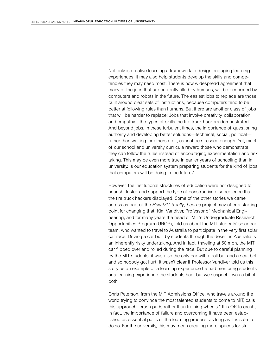Not only is creative learning a framework to design engaging learning experiences, it may also help students develop the skills and competencies they may need most. There is now widespread agreement that many of the jobs that are currently filled by humans, will be performed by computers and robots in the future. The easiest jobs to replace are those built around clear sets of instructions, because computers tend to be better at following rules than humans. But there are another class of jobs that will be harder to replace: Jobs that involve creativity, collaboration, and empathy—the types of skills the fire truck hackers demonstrated. And beyond jobs, in these turbulent times, the importance of questioning authority and developing better solutions—technical, social, political rather than waiting for others do it, cannot be stressed enough. Yet, much of our school and university curricula reward those who demonstrate they can follow the rules instead of encouraging experimentation and risk taking. This may be even more true in earlier years of schooling than in university. Is our education system preparing students for the kind of jobs that computers will be doing in the future?

However, the institutional structures of education were not designed to nourish, foster, and support the type of constructive disobedience that the fire truck hackers displayed. Some of the other stories we came across as part of the *How MIT (really) Learns* project may offer a starting point for changing that. Kim Vandiver, Professor of Mechanical Engineering, and for many years the head of MIT's Undergraduate Research Opportunities Program (UROP), told us about the MIT students' solar car team, who wanted to travel to Australia to participate in the very first solar car race. Driving a car built by students through the desert in Australia is an inherently risky undertaking. And in fact, traveling at 50 mph, the MIT car flipped over and rolled during the race. But due to careful planning by the MIT students, it was also the only car with a roll bar and a seat belt and so nobody got hurt. It wasn't clear if Professor Vandiver told us this story as an example of a learning experience he had mentoring students or a learning experience the students had, but we suspect it was a bit of both.

Chris Peterson, from the MIT Admissions Office, who travels around the world trying to convince the most talented students to come to MIT, calls this approach "crash pads rather than training wheels." It is OK to crash, in fact, the importance of failure and overcoming it have been established as essential parts of the learning process, as long as it is safe to do so. For the university, this may mean creating more spaces for stu-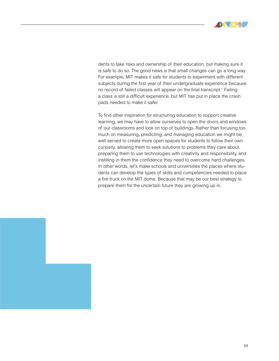

dents to take risks and ownership of their education, but making sure it is safe to do so. The good news is that small changes can go a long way. For example, MIT makes it safe for students to experiment with different subjects during the first year of their undergraduate experience because no record of failed classes will appear on the final transcript.<sup>1</sup> Failing a class is still a difficult experience, but MIT has put in place the crash pads needed to make it safer.

To find other inspiration for structuring education to support creative learning, we may have to allow ourselves to open the doors and windows of our classrooms and look on top of buildings. Rather than focusing too much on measuring, predicting, and managing education we might be well served to create more open spaces for students to follow their own curiosity, allowing them to seek solutions to problems they care about, preparing them to use technologies with creativity and responsibility, and instilling in them the confidence they need to overcome hard challenges. In other words, let's make schools and universities the places where students can develop the types of skills and competencies needed to place a fire truck on the MIT dome. Because that may be our best strategy to prepare them for the uncertain future they are growing up in.

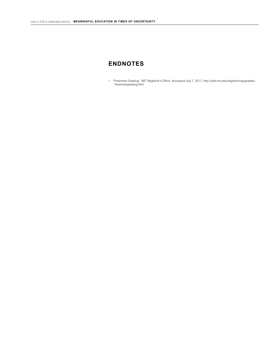## **ENDNOTES**

1 "Freshman Grading." MIT Registrar's Office. Accessed July 7, 2017. http://web.mit.edu/registrar/reg/grades/ freshmangrading.html